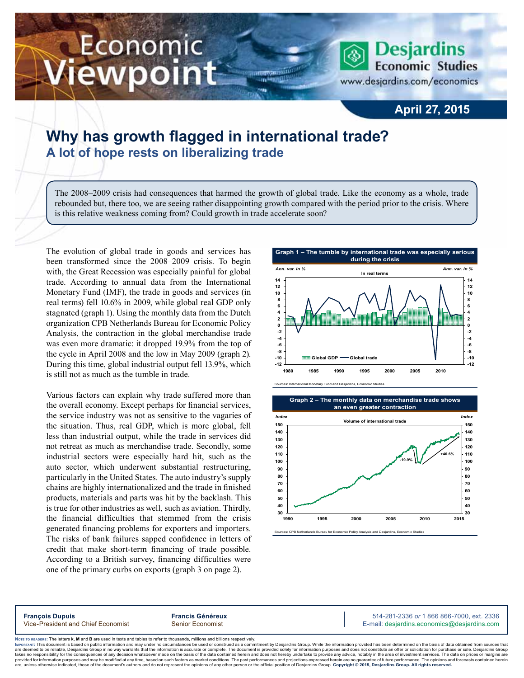# Economic ewpoint

**Desjardins Economic Studies** www.desjardins.com/economics

## **April 27, 2015**

## **Why has growth flagged in international trade? A lot of hope rests on liberalizing trade**

The 2008–2009 crisis had consequences that harmed the growth of global trade. Like the economy as a whole, trade rebounded but, there too, we are seeing rather disappointing growth compared with the period prior to the crisis. Where is this relative weakness coming from? Could growth in trade accelerate soon?

,,,

The evolution of global trade in goods and services has been transformed since the 2008–2009 crisis. To begin with, the Great Recession was especially painful for global trade. According to annual data from the International Monetary Fund (IMF), the trade in goods and services (in real terms) fell 10.6% in 2009, while global real GDP only stagnated (graph 1). Using the monthly data from the Dutch organization CPB Netherlands Bureau for Economic Policy Analysis, the contraction in the global merchandise trade was even more dramatic: it dropped 19.9% from the top of the cycle in April 2008 and the low in May 2009 (graph 2). During this time, global industrial output fell 13.9%, which is still not as much as the tumble in trade.

Various factors can explain why trade suffered more than the overall economy. Except perhaps for financial services, the service industry was not as sensitive to the vagaries of the situation. Thus, real GDP, which is more global, fell less than industrial output, while the trade in services did not retreat as much as merchandise trade. Secondly, some industrial sectors were especially hard hit, such as the auto sector, which underwent substantial restructuring, particularly in the United States. The auto industry's supply chains are highly internationalized and the trade in finished products, materials and parts was hit by the backlash. This is true for other industries as well, such as aviation. Thirdly, the financial difficulties that stemmed from the crisis generated financing problems for exporters and importers. The risks of bank failures sapped confidence in letters of credit that make short-term financing of trade possible. According to a British survey, financing difficulties were one of the primary curbs on exports (graph 3 on page 2).







rces: CPB Net

**François Dupuis Francis Généreux** 514-281-2336 *or* 1 866 866-7000, ext. 2336 Vice-President and Chief Economist Senior Economist Senior Economist E-mail: desjardins.economics@desjardins.com

Noте то келоекs: The letters **k, M** and **B** are used in texts and tables to refer to thousands, millions and billions respectively.<br>Імроктлит: This document is based on public information and may under no circumstances be are deemed to be reliable. Desiardins Group in no way warrants that the information is accurate or complete. The document is provided solely for information purposes and does not constitute an offer or solicitation for pur takes no responsibility for the consequences of any decision whatsoever made on the basis of the data contained herein and does not hereby undertake to provide any advice, notably in the area of investment services. The da .<br>are, unless otherwise indicated, those of the document's authors and do not represent the opinions of any other person or the official position of Desjardins Group. Copyright © 2015, Desjardins Group. All rights reserve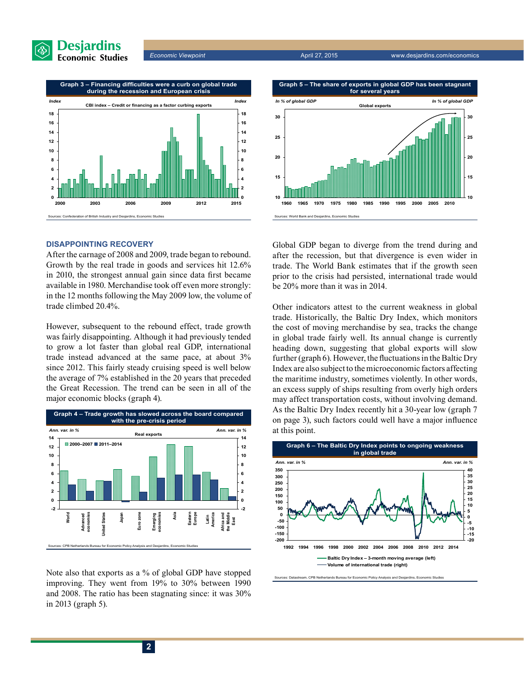





#### **Disappointing recovery**

After the carnage of 2008 and 2009, trade began to rebound. Growth by the real trade in goods and services hit 12.6% in 2010, the strongest annual gain since data first became available in 1980. Merchandise took off even more strongly: in the 12 months following the May 2009 low, the volume of trade climbed 20.4%.

However, subsequent to the rebound effect, trade growth was fairly disappointing. Although it had previously tended to grow a lot faster than global real GDP, international trade instead advanced at the same pace, at about 3% since 2012. This fairly steady cruising speed is well below the average of 7% established in the 20 years that preceded the Great Recession. The trend can be seen in all of the major economic blocks (graph 4).



Note also that exports as a % of global GDP have stopped improving. They went from 19% to 30% between 1990 and 2008. The ratio has been stagnating since: it was 30% in 2013 (graph 5).

**2**



Global GDP began to diverge from the trend during and after the recession, but that divergence is even wider in trade. The World Bank estimates that if the growth seen prior to the crisis had persisted, international trade would be 20% more than it was in 2014.

Other indicators attest to the current weakness in global trade. Historically, the Baltic Dry Index, which monitors the cost of moving merchandise by sea, tracks the change in global trade fairly well. Its annual change is currently heading down, suggesting that global exports will slow further (graph 6). However, the fluctuations in the Baltic Dry Index are also subject to the microeconomic factors affecting the maritime industry, sometimes violently. In other words, an excess supply of ships resulting from overly high orders may affect transportation costs, without involving demand. As the Baltic Dry Index recently hit a 30‑year low (graph 7 on page 3), such factors could well have a major influence at this point.

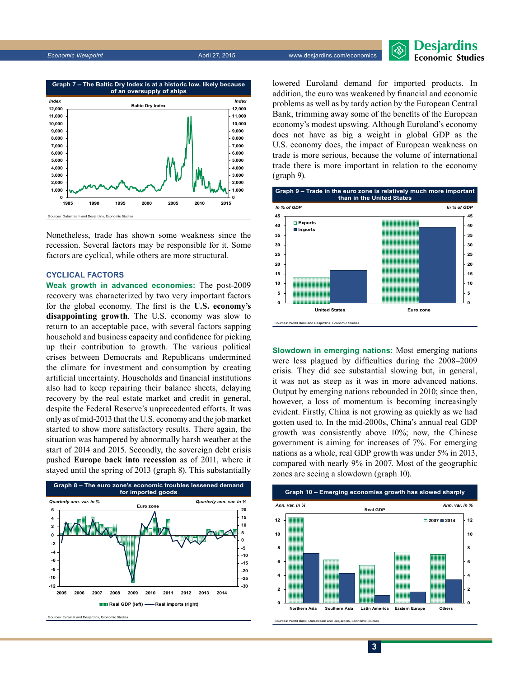

Nonetheless, trade has shown some weakness since the recession. Several factors may be responsible for it. Some factors are cyclical, while others are more structural.

#### **Cyclical factors**

**Weak growth in advanced economies:** The post‑2009 recovery was characterized by two very important factors for the global economy. The first is the **U.S. economy's disappointing growth**. The U.S. economy was slow to return to an acceptable pace, with several factors sapping household and business capacity and confidence for picking up their contribution to growth. The various political crises between Democrats and Republicans undermined the climate for investment and consumption by creating artificial uncertainty. Households and financial institutions also had to keep repairing their balance sheets, delaying recovery by the real estate market and credit in general, despite the Federal Reserve's unprecedented efforts. It was only as of mid‑2013 that the U.S. economy and the job market started to show more satisfactory results. There again, the situation was hampered by abnormally harsh weather at the start of 2014 and 2015. Secondly, the sovereign debt crisis pushed **Europe back into recession** as of 2011, where it stayed until the spring of 2013 (graph 8). This substantially



lowered Euroland demand for imported products. In addition, the euro was weakened by financial and economic problems as well as by tardy action by the European Central Bank, trimming away some of the benefits of the European economy's modest upswing. Although Euroland's economy does not have as big a weight in global GDP as the U.S. economy does, the impact of European weakness on trade is more serious, because the volume of international trade there is more important in relation to the economy (graph 9).



**Slowdown in emerging nations:** Most emerging nations were less plagued by difficulties during the 2008–2009 crisis. They did see substantial slowing but, in general, it was not as steep as it was in more advanced nations. Output by emerging nations rebounded in 2010; since then, however, a loss of momentum is becoming increasingly evident. Firstly, China is not growing as quickly as we had gotten used to. In the mid‑2000s, China's annual real GDP growth was consistently above 10%; now, the Chinese government is aiming for increases of 7%. For emerging nations as a whole, real GDP growth was under 5% in 2013, compared with nearly 9% in 2007. Most of the geographic zones are seeing a slowdown (graph 10).



es: World Bank, Datastream and Desjardins, Economic Studie

**Economic Studies**